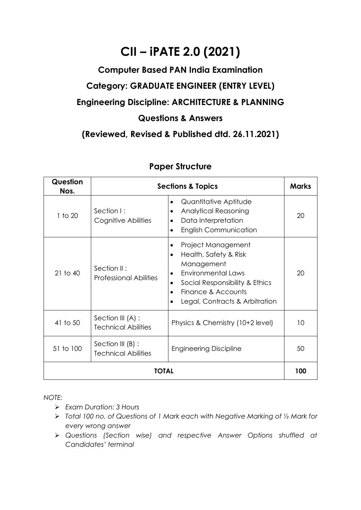# **CII – iPATE 2.0 (2021)**

## **Computer Based PAN India Examination Category: GRADUATE ENGINEER (ENTRY LEVEL) Engineering Discipline: ARCHITECTURE & PLANNING Questions & Answers**

### **(Reviewed, Revised & Published dtd. 26.11.2021)**

| Question<br>Nos. | <b>Sections &amp; Topics</b>                    |                                                                                                                                                                                  |    |  |
|------------------|-------------------------------------------------|----------------------------------------------------------------------------------------------------------------------------------------------------------------------------------|----|--|
| 1 to 20          | Section I:<br>Cognitive Abilities               | Quantitative Aptitude<br>$\bullet$<br><b>Analytical Reasoning</b><br>Data Interpretation<br><b>English Communication</b>                                                         | 20 |  |
| $21$ to $40$     | Section II:<br><b>Professional Abilities</b>    | Project Management<br>Health, Safety & Risk<br>Management<br><b>Environmental Laws</b><br>Social Responsibility & Ethics<br>Finance & Accounts<br>Legal, Contracts & Arbitration | 20 |  |
| 41 to 50         | Section III (A) :<br><b>Technical Abilities</b> | Physics & Chemistry (10+2 level)                                                                                                                                                 | 10 |  |
| 51 to 100        | Section III (B) :<br><b>Technical Abilities</b> | <b>Engineering Discipline</b>                                                                                                                                                    | 50 |  |
| TOTAL            |                                                 |                                                                                                                                                                                  |    |  |

### **Paper Structure**

*NOTE:*

- ➢ *Exam Duration: 3 Hours*
- ➢ *Total 100 no. of Questions of 1 Mark each with Negative Marking of ½ Mark for every wrong answer*
- ➢ *Questions (Section wise) and respective Answer Options shuffled at Candidates' terminal*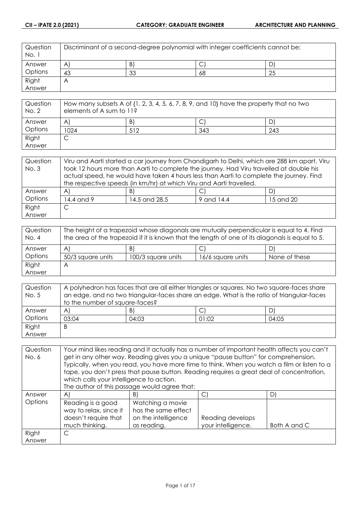| Question<br>No. 1 | Discriminant of a second-degree polynomial with integer coefficients cannot be: |    |    |    |
|-------------------|---------------------------------------------------------------------------------|----|----|----|
| Answer            | $\mathsf{A}^{\mathsf{c}}$                                                       | B) | ◡  |    |
| Options           | 43                                                                              | 33 | 68 | 25 |
| Right             | $\overline{\phantom{a}}$                                                        |    |    |    |
| Answer            |                                                                                 |    |    |    |

| Question<br>No. 2 | How many subsets A of $\{1, 2, 3, 4, 5, 6, 7, 8, 9,$ and $10\}$ have the property that no two<br>elements of A sum to 11? |     |     |     |
|-------------------|---------------------------------------------------------------------------------------------------------------------------|-----|-----|-----|
| Answer            | A                                                                                                                         | B)  |     |     |
| Options           | 1024                                                                                                                      | 512 | 343 | 243 |
| Right             |                                                                                                                           |     |     |     |
| Answer            |                                                                                                                           |     |     |     |

| Question | Viru and Aarti started a car journey from Chandigarh to Delhi, which are 288 km apart. Viru |                                                                                         |            |           |
|----------|---------------------------------------------------------------------------------------------|-----------------------------------------------------------------------------------------|------------|-----------|
| No. 3    | took 12 hours more than Aarti to complete the journey. Had Viru travelled at double his     |                                                                                         |            |           |
|          |                                                                                             | actual speed, he would have taken 4 hours less than Aarti to complete the journey. Find |            |           |
|          |                                                                                             | the respective speeds (in km/hr) at which Viru and Aarti travelled.                     |            |           |
| Answer   | $\mathsf{A}$                                                                                | B)                                                                                      |            | DI        |
| Options  | 14.4 and 9                                                                                  | 14.5 and 28.5                                                                           | 9 and 14.4 | 15 and 20 |
| Right    | С                                                                                           |                                                                                         |            |           |
| Answer   |                                                                                             |                                                                                         |            |           |

| Question<br>No. 4 | The height of a trapezoid whose diagonals are mutually perpendicular is equal to 4. Find<br>the area of the trapezoid if it is known that the length of one of its diagonals is equal to 5. |                    |                   |               |
|-------------------|---------------------------------------------------------------------------------------------------------------------------------------------------------------------------------------------|--------------------|-------------------|---------------|
| Answer            | A                                                                                                                                                                                           | B)                 | ◡                 | D)            |
| Options           | 50/3 square units                                                                                                                                                                           | 100/3 square units | 16/6 square units | None of these |
| Right             | Η                                                                                                                                                                                           |                    |                   |               |
| Answer            |                                                                                                                                                                                             |                    |                   |               |

| Question | A polyhedron has faces that are all either triangles or squares. No two square-faces share |       |       |       |
|----------|--------------------------------------------------------------------------------------------|-------|-------|-------|
| No. 5    | an edge, and no two triangular-faces share an edge. What is the ratio of triangular-faces  |       |       |       |
|          | to the number of square-faces?                                                             |       |       |       |
| Answer   | $\mathsf{A}$                                                                               | B)    | ◡     | D)    |
| Options  | 03:04                                                                                      | 04:03 | 01:02 | 04:05 |
| Right    | B                                                                                          |       |       |       |
| Answer   |                                                                                            |       |       |       |

| Question | Your mind likes reading and it actually has a number of important health affects you can't |                                                                                             |                    |              |
|----------|--------------------------------------------------------------------------------------------|---------------------------------------------------------------------------------------------|--------------------|--------------|
| No. 6    | get in any other way. Reading gives you a unique "pause button" for comprehension.         |                                                                                             |                    |              |
|          |                                                                                            | Typically, when you read, you have more time to think. When you watch a film or listen to a |                    |              |
|          |                                                                                            | tape, you don't press that pause button. Reading requires a great deal of concentration,    |                    |              |
|          | which calls your intelligence to action.                                                   |                                                                                             |                    |              |
|          |                                                                                            | The author of this passage would agree that:                                                |                    |              |
| Answer   | $\mathsf{A}$                                                                               | B)                                                                                          | C)                 | D)           |
| Options  | Reading is a good                                                                          | Watching a movie                                                                            |                    |              |
|          | way to relax, since it                                                                     | has the same effect                                                                         |                    |              |
|          | doesn't require that                                                                       | on the intelligence                                                                         | Reading develops   |              |
|          | much thinking.                                                                             | as reading.                                                                                 | your intelligence. | Both A and C |
| Right    | C                                                                                          |                                                                                             |                    |              |
| Answer   |                                                                                            |                                                                                             |                    |              |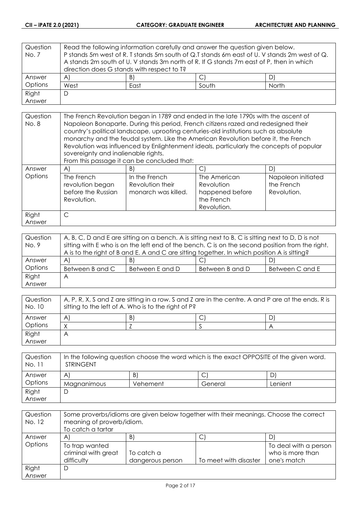| Question | Read the following information carefully and answer the question given below. |                                                                                             |  |    |  |
|----------|-------------------------------------------------------------------------------|---------------------------------------------------------------------------------------------|--|----|--|
| No. 7    |                                                                               | P stands 5m west of R. T stands 5m south of Q.T stands 6m east of U. V stands 2m west of Q. |  |    |  |
|          |                                                                               | A stands 2m south of U. V stands 3m north of R. If G stands 7m east of P, then in which     |  |    |  |
|          | direction does G stands with respect to T?                                    |                                                                                             |  |    |  |
| Answer   | $\forall$                                                                     | B)                                                                                          |  | D) |  |
| Options  | West<br>South<br>North<br>East                                                |                                                                                             |  |    |  |
| Right    | D                                                                             |                                                                                             |  |    |  |
| Answer   |                                                                               |                                                                                             |  |    |  |

| Question | The French Revolution began in 1789 and ended in the late 1790s with the ascent of                                                                                         |                                                                                         |                                                                            |                                                 |
|----------|----------------------------------------------------------------------------------------------------------------------------------------------------------------------------|-----------------------------------------------------------------------------------------|----------------------------------------------------------------------------|-------------------------------------------------|
| No. 8    | Napoleon Bonaparte. During this period, French citizens razed and redesigned their<br>country's political landscape, uprooting centuries-old institutions such as absolute |                                                                                         |                                                                            |                                                 |
|          |                                                                                                                                                                            | monarchy and the feudal system. Like the American Revolution before it, the French      |                                                                            |                                                 |
|          |                                                                                                                                                                            | Revolution was influenced by Enlightenment ideals, particularly the concepts of popular |                                                                            |                                                 |
|          | sovereignty and inalienable rights.                                                                                                                                        |                                                                                         |                                                                            |                                                 |
|          |                                                                                                                                                                            | From this passage it can be concluded that:                                             |                                                                            |                                                 |
| Answer   | $\mathsf{A}$                                                                                                                                                               | B)                                                                                      | C                                                                          | D                                               |
| Options  | The French<br>revolution began<br>before the Russian<br>Revolution.                                                                                                        | In the French<br>Revolution their<br>monarch was killed.                                | The American<br>Revolution<br>happened before<br>the French<br>Revolution. | Napoleon initiated<br>the French<br>Revolution. |
| Right    | C                                                                                                                                                                          |                                                                                         |                                                                            |                                                 |
| Answer   |                                                                                                                                                                            |                                                                                         |                                                                            |                                                 |

| Question | A, B, C, D and E are sitting on a bench. A is sitting next to B, C is sitting next to D, D is not |                 |                 |                 |
|----------|---------------------------------------------------------------------------------------------------|-----------------|-----------------|-----------------|
| No. 9    | sitting with E who is on the left end of the bench. C is on the second position from the right.   |                 |                 |                 |
|          | A is to the right of B and E. A and C are sitting together. In which position A is sitting?       |                 |                 |                 |
| Answer   | $\mathsf{A}$                                                                                      | B)              | ◡               | D)              |
| Options  | Between B and C                                                                                   | Between E and D | Between B and D | Between C and E |
| Right    | Α                                                                                                 |                 |                 |                 |
| Answer   |                                                                                                   |                 |                 |                 |

| Question<br>No. 10 | A, P, R, X, S and Z are sitting in a row. S and Z are in the centre. A and P are at the ends. R is<br>sitting to the left of A. Who is to the right of P? |  |  |  |  |
|--------------------|-----------------------------------------------------------------------------------------------------------------------------------------------------------|--|--|--|--|
| Answer             | B)<br>D<br>A                                                                                                                                              |  |  |  |  |
| Options            |                                                                                                                                                           |  |  |  |  |
| Right              | Α                                                                                                                                                         |  |  |  |  |
| Answer             |                                                                                                                                                           |  |  |  |  |

| Question<br>No. 11 | In the following question choose the word which is the exact OPPOSITE of the given word.<br><b>STRINGENT</b> |          |         |         |
|--------------------|--------------------------------------------------------------------------------------------------------------|----------|---------|---------|
| Answer             | A                                                                                                            | B)       |         |         |
| Options            | Magnanimous                                                                                                  | Vehement | General | Lenient |
| Right              |                                                                                                              |          |         |         |
| Answer             |                                                                                                              |          |         |         |

| Question<br>No. 12 | Some proverbs/idioms are given below together with their meanings. Choose the correct<br>meaning of proverb/idiom.<br>To catch a tartar |                  |                       |                                           |
|--------------------|-----------------------------------------------------------------------------------------------------------------------------------------|------------------|-----------------------|-------------------------------------------|
| Answer             | A                                                                                                                                       | B)               | ◡                     | D)                                        |
| Options            | To trap wanted<br>criminal with great                                                                                                   | To catch a       |                       | To deal with a person<br>who is more than |
|                    | difficulty                                                                                                                              | dangerous person | To meet with disaster | one's match                               |
| Right              | D                                                                                                                                       |                  |                       |                                           |
| Answer             |                                                                                                                                         |                  |                       |                                           |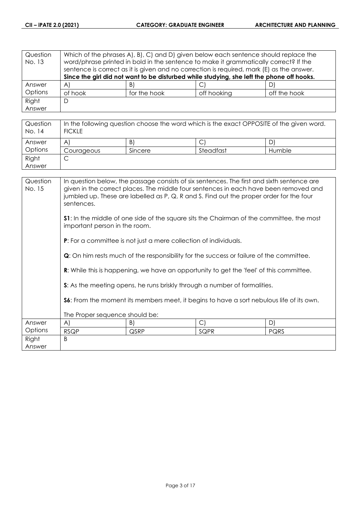| Question<br>No. 13 | Which of the phrases A, B, C and D, given below each sentence should replace the<br>word/phrase printed in bold in the sentence to make it grammatically correct? If the<br>sentence is correct as it is given and no correction is required, mark (E) as the answer. |              |                                                                                           |              |
|--------------------|-----------------------------------------------------------------------------------------------------------------------------------------------------------------------------------------------------------------------------------------------------------------------|--------------|-------------------------------------------------------------------------------------------|--------------|
|                    |                                                                                                                                                                                                                                                                       |              | Since the girl did not want to be disturbed while studying, she left the phone off hooks. |              |
| Answer             | $\forall$                                                                                                                                                                                                                                                             | B)           | С                                                                                         |              |
| Options            | of hook                                                                                                                                                                                                                                                               | for the hook | off hooking                                                                               | off the hook |
| Right              | D                                                                                                                                                                                                                                                                     |              |                                                                                           |              |
| Answer             |                                                                                                                                                                                                                                                                       |              |                                                                                           |              |

| Question<br>No. 14 | In the following question choose the word which is the exact OPPOSITE of the given word.<br><b>FICKLE</b> |         |           |        |
|--------------------|-----------------------------------------------------------------------------------------------------------|---------|-----------|--------|
| Answer             | A                                                                                                         | B)      |           | D      |
| Options            | Courageous                                                                                                | Sincere | Steadfast | Humble |
| Right              | ◡                                                                                                         |         |           |        |
| Answer             |                                                                                                           |         |           |        |

| Question<br>No. 15 | In question below, the passage consists of six sentences. The first and sixth sentence are<br>given in the correct places. The middle four sentences in each have been removed and<br>jumbled up. These are labelled as P, Q, R and S. Find out the proper order for the four<br>sentences. |                                                                         |                                                                           |      |
|--------------------|---------------------------------------------------------------------------------------------------------------------------------------------------------------------------------------------------------------------------------------------------------------------------------------------|-------------------------------------------------------------------------|---------------------------------------------------------------------------|------|
|                    | <b>S1</b> : In the middle of one side of the square sits the Chairman of the committee, the most<br>important person in the room.                                                                                                                                                           |                                                                         |                                                                           |      |
|                    |                                                                                                                                                                                                                                                                                             | <b>P:</b> For a committee is not just a mere collection of individuals. |                                                                           |      |
|                    | <b>Q</b> : On him rests much of the responsibility for the success or failure of the committee.                                                                                                                                                                                             |                                                                         |                                                                           |      |
|                    | <b>R:</b> While this is happening, we have an opportunity to get the 'feel' of this committee.                                                                                                                                                                                              |                                                                         |                                                                           |      |
|                    |                                                                                                                                                                                                                                                                                             |                                                                         | S: As the meeting opens, he runs briskly through a number of formalities. |      |
|                    | <b>S6:</b> From the moment its members meet, it begins to have a sort nebulous life of its own.                                                                                                                                                                                             |                                                                         |                                                                           |      |
|                    | The Proper sequence should be:                                                                                                                                                                                                                                                              |                                                                         |                                                                           |      |
| Answer             | A)                                                                                                                                                                                                                                                                                          | B)                                                                      | $\mathsf{C}$                                                              | D)   |
| Options            | <b>RSQP</b>                                                                                                                                                                                                                                                                                 | QSRP                                                                    | SQPR                                                                      | PQRS |
| Right<br>Answer    | B                                                                                                                                                                                                                                                                                           |                                                                         |                                                                           |      |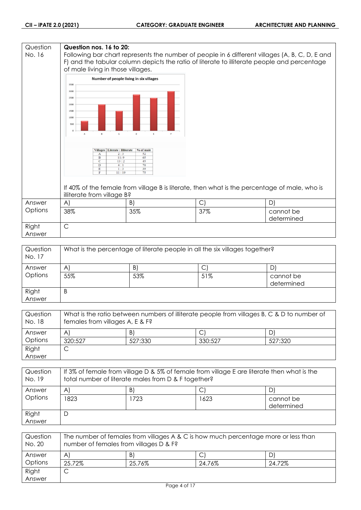#### **Question Question nos. 16 to 20:** No. 16 Following bar chart represents the number of people in 6 different villages (A, B, C, D, E and F) and the tabular column depicts the ratio of literate to illiterate people and percentage of male living in those villages. Number of people living in six villages 3500 3000 2500 2000 1500  $1000$ 50 Villages | Literate : Illiterate | % of male Ť  $\frac{1}{13}$  $\overline{11}$ If 40% of the female from village B is literate, then what is the percentage of male, who is illiterate from village B? Answer A)  $|B|$   $|C|$   $|D|$ **Options** 38% 35% 37% cannot be determined Right C Answer

| Question<br>No. 17 | What is the percentage of literate people in all the six villages together? |     |     |                         |
|--------------------|-----------------------------------------------------------------------------|-----|-----|-------------------------|
| Answer             | A                                                                           | B)  | С   |                         |
| Options            | 55%                                                                         | 53% | 51% | cannot be<br>determined |
| Right<br>Answer    | B                                                                           |     |     |                         |

| Question<br>No. 18 | What is the ratio between numbers of illiterate people from villages B, C & D to number of<br>females from villages A, E & F? |         |         |         |
|--------------------|-------------------------------------------------------------------------------------------------------------------------------|---------|---------|---------|
| Answer             | A                                                                                                                             | B)      |         | D.      |
| Options            | 320:527                                                                                                                       | 527:330 | 330:527 | 527:320 |
| Right              | ◡                                                                                                                             |         |         |         |
| Answer             |                                                                                                                               |         |         |         |

| Question<br>No. 19 | If 3% of female from village D & 5% of female from village E are literate then what is the<br>total number of literate males from D & F together? |     |      |                         |
|--------------------|---------------------------------------------------------------------------------------------------------------------------------------------------|-----|------|-------------------------|
| Answer             | A                                                                                                                                                 | B)  |      | D,                      |
| Options            | 1823                                                                                                                                              | 723 | 1623 | cannot be<br>determined |
| Right<br>Answer    | D                                                                                                                                                 |     |      |                         |

| Question<br>No. 20 | The number of females from villages A & C is how much percentage more or less than<br>number of females from villages D & F? |        |        |        |
|--------------------|------------------------------------------------------------------------------------------------------------------------------|--------|--------|--------|
| Answer             | $\mathsf{A}$                                                                                                                 | B)     | ◡      | D      |
| Options            | 25.72%                                                                                                                       | 25.76% | 24.76% | 24.72% |
| Right              | ◡                                                                                                                            |        |        |        |
| Answer             |                                                                                                                              |        |        |        |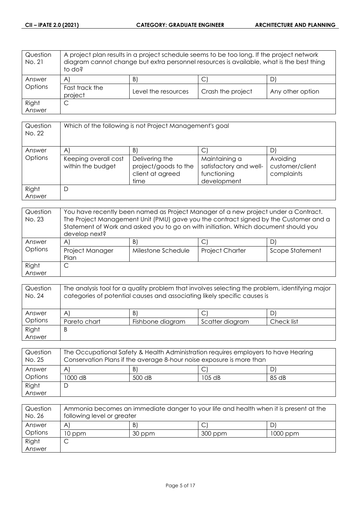| Question<br>No. 21 | A project plan results in a project schedule seems to be too long. If the project network<br>diagram cannot change but extra personnel resources is available, what is the best thing<br>to do? |                     |                   |                  |
|--------------------|-------------------------------------------------------------------------------------------------------------------------------------------------------------------------------------------------|---------------------|-------------------|------------------|
| Answer             | $\mathsf{A}$                                                                                                                                                                                    | B)                  | С                 |                  |
| Options            | Fast track the<br>project                                                                                                                                                                       | Level the resources | Crash the project | Any other option |
| Right              | С                                                                                                                                                                                               |                     |                   |                  |
| Answer             |                                                                                                                                                                                                 |                     |                   |                  |

| Question<br>No. 22 | Which of the following is not Project Management's goal |                                                                    |                                                                       |                                           |
|--------------------|---------------------------------------------------------|--------------------------------------------------------------------|-----------------------------------------------------------------------|-------------------------------------------|
| Answer             | $\mathsf{A}$                                            | B)                                                                 | C                                                                     | D                                         |
| Options            | Keeping overall cost<br>within the budget               | Delivering the<br>project/goods to the<br>client at agreed<br>time | Maintaining a<br>satisfactory and well-<br>functioning<br>development | Avoiding<br>customer/client<br>complaints |
| Right<br>Answer    | D                                                       |                                                                    |                                                                       |                                           |

| Question<br>No. 23 | You have recently been named as Project Manager of a new project under a Contract.<br>The Project Management Unit (PMU) gave you the contract signed by the Customer and a<br>Statement of Work and asked you to go on with initiation. Which document should you<br>develop next? |                    |                        |                 |
|--------------------|------------------------------------------------------------------------------------------------------------------------------------------------------------------------------------------------------------------------------------------------------------------------------------|--------------------|------------------------|-----------------|
| Answer             | A                                                                                                                                                                                                                                                                                  | B)                 |                        |                 |
| Options            | Project Manager<br>Plan                                                                                                                                                                                                                                                            | Milestone Schedule | <b>Project Charter</b> | Scope Statement |
| Right              |                                                                                                                                                                                                                                                                                    |                    |                        |                 |
| Answer             |                                                                                                                                                                                                                                                                                    |                    |                        |                 |

| Question<br>No. 24 | The analysis tool for a quality problem that involves selecting the problem, identifying major<br>categories of potential causes and associating likely specific causes is |                  |                 |            |
|--------------------|----------------------------------------------------------------------------------------------------------------------------------------------------------------------------|------------------|-----------------|------------|
| Answer             | $\mathsf{A}$                                                                                                                                                               | B)               |                 |            |
| Options            | Pareto chart                                                                                                                                                               | Fishbone diagram | Scatter diagram | Check list |
| Right              | B                                                                                                                                                                          |                  |                 |            |
| Answer             |                                                                                                                                                                            |                  |                 |            |

| Question<br>No. 25 | The Occupational Safety & Health Administration requires employers to have Hearing<br>Conservation Plans if the average 8-hour noise exposure is more than |        |          |       |
|--------------------|------------------------------------------------------------------------------------------------------------------------------------------------------------|--------|----------|-------|
| Answer             | $\mathsf{A}$                                                                                                                                               | B)     |          |       |
| Options            | 1000 dB                                                                                                                                                    | 500 dB | $105$ dB | 85 dB |
| Right              |                                                                                                                                                            |        |          |       |
| Answer             |                                                                                                                                                            |        |          |       |

| Question<br>No. 26 | Ammonia becomes an immediate danger to your life and health when it is present at the<br>following level or greater |        |         |          |
|--------------------|---------------------------------------------------------------------------------------------------------------------|--------|---------|----------|
| Answer             | A                                                                                                                   | B)     |         |          |
| Options            | 10 ppm                                                                                                              | 30 ppm | 300 ppm | 1000 ppm |
| Right              |                                                                                                                     |        |         |          |
| Answer             |                                                                                                                     |        |         |          |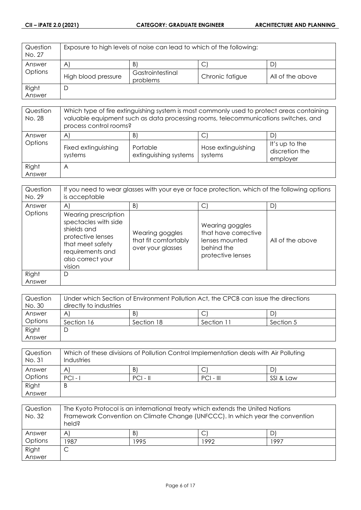| Question<br>No. 27 | Exposure to high levels of noise can lead to which of the following: |                              |                 |                  |
|--------------------|----------------------------------------------------------------------|------------------------------|-----------------|------------------|
| Answer             | $\mathsf{A}$                                                         | B                            | U               |                  |
| Options            | High blood pressure                                                  | Gastrointestinal<br>problems | Chronic fatigue | All of the above |
| Right              |                                                                      |                              |                 |                  |
| Answer             |                                                                      |                              |                 |                  |

| Question<br>No. 28 | Which type of fire extinguishing system is most commonly used to protect areas containing<br>valuable equipment such as data processing rooms, telecommunications switches, and<br>process control rooms? |                                         |                                    |                                              |
|--------------------|-----------------------------------------------------------------------------------------------------------------------------------------------------------------------------------------------------------|-----------------------------------------|------------------------------------|----------------------------------------------|
| Answer<br>Options  | $\mathsf{A}$<br>Fixed extinguishing<br>systems                                                                                                                                                            | B'<br>Portable<br>extinguishing systems | С<br>Hose extinguishing<br>systems | It's up to the<br>discretion the<br>employer |
| Right<br>Answer    | A                                                                                                                                                                                                         |                                         |                                    |                                              |

| Question<br>No. 29 | If you need to wear glasses with your eye or face protection, which of the following options<br>is acceptable                                           |                                                              |                                                                                              |                  |
|--------------------|---------------------------------------------------------------------------------------------------------------------------------------------------------|--------------------------------------------------------------|----------------------------------------------------------------------------------------------|------------------|
| Answer             | $\mathsf{A}$                                                                                                                                            | B)                                                           | С                                                                                            | D                |
| Options            | Wearing prescription<br>spectacles with side<br>shields and<br>protective lenses<br>that meet safety<br>requirements and<br>also correct your<br>vision | Wearing goggles<br>that fit comfortably<br>over your glasses | Wearing goggles<br>that have corrective<br>lenses mounted<br>behind the<br>protective lenses | All of the above |
| Right<br>Answer    | D                                                                                                                                                       |                                                              |                                                                                              |                  |

| Question | Under which Section of Environment Pollution Act, the CPCB can issue the directions |            |            |           |
|----------|-------------------------------------------------------------------------------------|------------|------------|-----------|
| No. 30   | directly to industries                                                              |            |            |           |
| Answer   | A                                                                                   | B)         |            | DI        |
| Options  | Section 16                                                                          | Section 18 | Section 11 | Section 5 |
| Right    | C                                                                                   |            |            |           |
| Answer   |                                                                                     |            |            |           |

| Question<br>No. 31 | Which of these divisions of Pollution Control Implementation deals with Air Polluting<br>Industries |            |             |           |
|--------------------|-----------------------------------------------------------------------------------------------------|------------|-------------|-----------|
| Answer             | A                                                                                                   | B          |             |           |
| Options            | $ PC $ -                                                                                            | $PCI - II$ | $PCI - III$ | SSI & Law |
| Right              | B                                                                                                   |            |             |           |
| Answer             |                                                                                                     |            |             |           |

| Question<br>No. 32 | The Kyoto Protocol is an international treaty which extends the United Nations<br>Framework Convention on Climate Change (UNFCCC). In which year the convention<br>held? |      |      |      |
|--------------------|--------------------------------------------------------------------------------------------------------------------------------------------------------------------------|------|------|------|
| Answer             | $\mathsf{A}^{\cdot}$                                                                                                                                                     | B)   |      |      |
| Options            | 1987                                                                                                                                                                     | 1995 | 1992 | 1997 |
| Right              | C                                                                                                                                                                        |      |      |      |
| Answer             |                                                                                                                                                                          |      |      |      |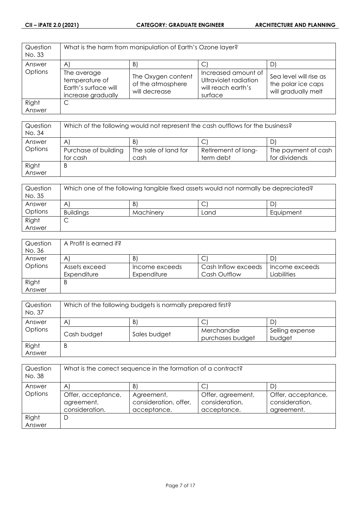| Question<br>No. 33 |                                                                             | What is the harm from manipulation of Earth's Ozone layer? |                                                                               |                                                                     |
|--------------------|-----------------------------------------------------------------------------|------------------------------------------------------------|-------------------------------------------------------------------------------|---------------------------------------------------------------------|
| Answer             | $\mathsf{A}^{\cdot}$                                                        | B                                                          |                                                                               | D                                                                   |
| Options            | The average<br>temperature of<br>Earth's surface will<br>increase gradually | The Oxygen content<br>of the atmosphere<br>will decrease   | Increased amount of<br>Ultraviolet radiation<br>will reach earth's<br>surface | Sea level will rise as<br>the polar ice caps<br>will gradually melt |
| Right              | C                                                                           |                                                            |                                                                               |                                                                     |
| Answer             |                                                                             |                                                            |                                                                               |                                                                     |

| Question<br>No. 34 | Which of the following would not represent the cash outflows for the business? |                      |                     |                     |
|--------------------|--------------------------------------------------------------------------------|----------------------|---------------------|---------------------|
| Answer             | A                                                                              | B                    | ◡                   |                     |
| Options            | Purchase of building                                                           | The sale of land for | Retirement of long- | The payment of cash |
|                    | for cash                                                                       | cash                 | term debt           | for dividends       |
| Right              | B                                                                              |                      |                     |                     |
| Answer             |                                                                                |                      |                     |                     |

| Question<br>No. 35 | Which one of the following tangible fixed assets would not normally be depreciated? |           |      |           |
|--------------------|-------------------------------------------------------------------------------------|-----------|------|-----------|
| Answer             | A                                                                                   | B.        | ◡    | D         |
| Options            | <b>Buildings</b>                                                                    | Machinery | Land | Equipment |
| Right              | ◡                                                                                   |           |      |           |
| Answer             |                                                                                     |           |      |           |

| Question | A Profit is earned if? |                |                     |                |
|----------|------------------------|----------------|---------------------|----------------|
| No. 36   |                        |                |                     |                |
| Answer   | $\mathsf{A}^{\prime}$  | B,             | ◡                   |                |
| Options  | Assets exceed          | Income exceeds | Cash Inflow exceeds | Income exceeds |
|          | Expenditure            | Expenditure    | <b>Cash Outflow</b> | Liabilities    |
| Right    | B                      |                |                     |                |
| Answer   |                        |                |                     |                |

| Question<br>No. 37 | Which of the following budgets is normally prepared first? |              |                                 |                           |
|--------------------|------------------------------------------------------------|--------------|---------------------------------|---------------------------|
| Answer             | $\mathsf{A}$                                               | B)           |                                 | D                         |
| Options            | Cash budget                                                | Sales budget | Merchandise<br>purchases budget | Selling expense<br>budget |
| Right<br>Answer    | B                                                          |              |                                 |                           |

| Question<br>No. 38 | What is the correct sequence in the formation of a contract? |                                                    |                                                    |                                                    |
|--------------------|--------------------------------------------------------------|----------------------------------------------------|----------------------------------------------------|----------------------------------------------------|
| Answer             | $\mathsf{A}^{\prime}$                                        | B                                                  |                                                    | D                                                  |
| Options            | Offer, acceptance,<br>agreement,<br>consideration.           | Agreement,<br>consideration, offer,<br>acceptance. | Offer, agreement,<br>consideration,<br>acceptance. | Offer, acceptance,<br>consideration,<br>agreement. |
| Right              | D                                                            |                                                    |                                                    |                                                    |
| Answer             |                                                              |                                                    |                                                    |                                                    |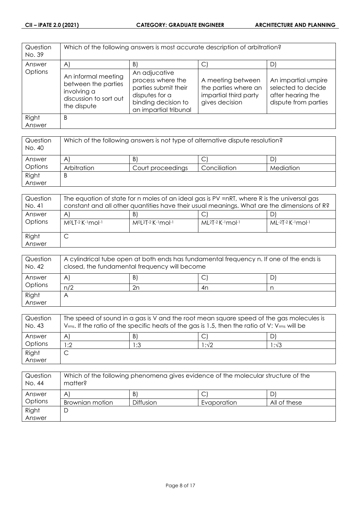| Question<br>No. 39 | Which of the following answers is most accurate description of arbitration?                        |                                                                                                                              |                                                                                      |                                                                                        |
|--------------------|----------------------------------------------------------------------------------------------------|------------------------------------------------------------------------------------------------------------------------------|--------------------------------------------------------------------------------------|----------------------------------------------------------------------------------------|
| Answer             | A)                                                                                                 | $\vert B \vert$                                                                                                              | $\vert$ C                                                                            | D)                                                                                     |
| Options            | An informal meeting<br>between the parties<br>involving a<br>discussion to sort out<br>the dispute | An adjucative<br>process where the<br>parties submit their<br>disputes for a<br>binding decision to<br>an impartial tribunal | A meeting between<br>the parties where an<br>impartial third party<br>gives decision | An impartial umpire<br>selected to decide<br>after hearing the<br>dispute from parties |
| Right<br>Answer    | B                                                                                                  |                                                                                                                              |                                                                                      |                                                                                        |

| Question<br>No. 40 | Which of the following answers is not type of alternative dispute resolution? |                   |              |           |
|--------------------|-------------------------------------------------------------------------------|-------------------|--------------|-----------|
| Answer             | $\mathsf{A}^{\prime}$                                                         | B)                | ◡            |           |
| Options            | Arbitration                                                                   | Court proceedings | Conciliation | Mediation |
| Right              | B                                                                             |                   |              |           |
| Answer             |                                                                               |                   |              |           |

| Question<br>No. 41 | The equation of state for n moles of an ideal gas is PV =nRT, where R is the universal gas<br>constant and all other quantities have their usual meanings. What are the dimensions of R? |                                  |                             |                     |
|--------------------|------------------------------------------------------------------------------------------------------------------------------------------------------------------------------------------|----------------------------------|-----------------------------|---------------------|
| Answer<br>Options  | A<br>M <sup>o</sup> LT-2 K-1 mol-1                                                                                                                                                       | B<br>$M^{0}[2T-2K^{-1}mol^{-1}]$ | $ML^{2}T-2$ K $-1$ mol $-1$ | $ML-2T-2$ K-1 mol-1 |
| Right<br>Answer    | ◡                                                                                                                                                                                        |                                  |                             |                     |

| Question<br>No. 42 | A cylindrical tube open at both ends has fundamental frequency n. If one of the ends is<br>closed, the fundamental frequency will become |    |     |    |
|--------------------|------------------------------------------------------------------------------------------------------------------------------------------|----|-----|----|
| Answer             | A                                                                                                                                        | B) | . J | D' |
| Options            | n/2                                                                                                                                      | 2n | 4n  |    |
| Right              |                                                                                                                                          |    |     |    |
| Answer             |                                                                                                                                          |    |     |    |

| Question<br>No. 43 | The speed of sound in a gas is V and the root mean square speed of the gas molecules is<br>$V_{rms}$ . If the ratio of the specific heats of the gas is 1.5, then the ratio of V: $V_{rms}$ will be |              |       |      |
|--------------------|-----------------------------------------------------------------------------------------------------------------------------------------------------------------------------------------------------|--------------|-------|------|
| Answer             | A                                                                                                                                                                                                   | $\mathsf{B}$ |       |      |
| Options            | :2                                                                                                                                                                                                  | 1:3          | l :√2 | 1:√3 |
| Right              |                                                                                                                                                                                                     |              |       |      |
| Answer             |                                                                                                                                                                                                     |              |       |      |

| Question<br>No. 44 | Which of the following phenomena gives evidence of the molecular structure of the<br>matter? |                  |             |              |
|--------------------|----------------------------------------------------------------------------------------------|------------------|-------------|--------------|
| Answer             | Α                                                                                            | B)               | ◡           |              |
| Options            | Brownian motion                                                                              | <b>Diffusion</b> | Evaporation | All of these |
| Right              | ◡                                                                                            |                  |             |              |
| Answer             |                                                                                              |                  |             |              |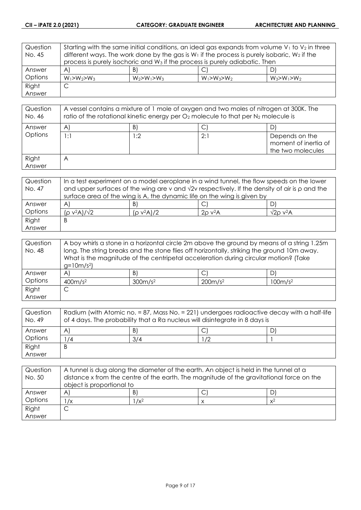| Question | Starting with the same initial conditions, an ideal gas expands from volume $V_1$ to $V_2$ in three |                                                                                         |                   |                   |
|----------|-----------------------------------------------------------------------------------------------------|-----------------------------------------------------------------------------------------|-------------------|-------------------|
| No. 45   | different ways. The work done by the gas is $W_1$ if the process is purely isobaric, $W_2$ if the   |                                                                                         |                   |                   |
|          |                                                                                                     | process is purely isochoric and W <sub>3</sub> if the process is purely adiabatic. Then |                   |                   |
| Answer   | $\mathsf{A}$                                                                                        | B)                                                                                      |                   | D)                |
| Options  | $W_1 > W_2 > W_3$                                                                                   | $W_2 > W_1 > W_3$                                                                       | $W_1 > W_3 > W_2$ | $W_3 > W_1 > W_2$ |
| Right    | C                                                                                                   |                                                                                         |                   |                   |
| Answer   |                                                                                                     |                                                                                         |                   |                   |

| Question<br>No. 46 | A vessel contains a mixture of 1 mole of oxygen and two moles of nitrogen at 300K. The<br>ratio of the rotational kinetic energy per $O_2$ molecule to that per $N_2$ molecule is |     |     |                                                             |
|--------------------|-----------------------------------------------------------------------------------------------------------------------------------------------------------------------------------|-----|-----|-------------------------------------------------------------|
| Answer             | $\mathsf{A}^{\mathsf{c}}$                                                                                                                                                         | B)  |     | D                                                           |
| Options            | 1:1                                                                                                                                                                               | 1:2 | 2:1 | Depends on the<br>moment of inertia of<br>the two molecules |
| Right<br>Answer    | $\forall$                                                                                                                                                                         |     |     |                                                             |

| Question | In a test experiment on a model aeroplane in a wind tunnel, the flow speeds on the lower                   |               |                          |                             |
|----------|------------------------------------------------------------------------------------------------------------|---------------|--------------------------|-----------------------------|
| No. 47   | and upper surfaces of the wing are v and $\sqrt{2}v$ respectively. If the density of air is $\rho$ and the |               |                          |                             |
|          | surface area of the wing is A, the dynamic life on the wing is given by                                    |               |                          |                             |
| Answer   | A                                                                                                          | B)            |                          |                             |
| Options  | $(p v^2 A)/\sqrt{2}$                                                                                       | $(p v^2 A)/2$ | $2\rho$ v <sup>2</sup> A | $\sqrt{2}$ o v $\sqrt{2}$ A |
| Right    | Β                                                                                                          |               |                          |                             |
| Answer   |                                                                                                            |               |                          |                             |

| Question | A boy whirls a stone in a horizontal circle 2m above the ground by means of a string 1.25m  |                 |                                                                                     |    |
|----------|---------------------------------------------------------------------------------------------|-----------------|-------------------------------------------------------------------------------------|----|
| No. 48   | long. The string breaks and the stone flies off horizontally, striking the ground 10m away. |                 |                                                                                     |    |
|          |                                                                                             |                 | What is the magnitude of the centripetal acceleration during circular motion? (Take |    |
|          | $g=10m/s^2$                                                                                 |                 |                                                                                     |    |
| Answer   | A'                                                                                          | $\vert B \vert$ | $\mathsf{C}^1$                                                                      | D. |
| Options  | 400m/s <sup>2</sup><br>300m/s <sup>2</sup><br>200m/s <sup>2</sup><br>100m/s <sup>2</sup>    |                 |                                                                                     |    |
| Right    | ◡                                                                                           |                 |                                                                                     |    |
| Answer   |                                                                                             |                 |                                                                                     |    |

| Question<br>No. 49 | Radium (with Atomic no. = 87, Mass No. = 221) undergoes radioactive decay with a half-life<br>of 4 days. The probability that a Ra nucleus will disintegrate in 8 days is |     |    |  |
|--------------------|---------------------------------------------------------------------------------------------------------------------------------------------------------------------------|-----|----|--|
| Answer             | A                                                                                                                                                                         | B   | ٮ  |  |
| Options            | $^1/4$                                                                                                                                                                    | 3/4 | 72 |  |
| Right              | B                                                                                                                                                                         |     |    |  |
| Answer             |                                                                                                                                                                           |     |    |  |

| Question<br>No. 50 | A tunnel is dug along the diameter of the earth. An object is held in the tunnel at a<br>distance x from the centre of the earth. The magnitude of the gravitational force on the<br>object is proportional to |         |  |       |
|--------------------|----------------------------------------------------------------------------------------------------------------------------------------------------------------------------------------------------------------|---------|--|-------|
| Answer             | A                                                                                                                                                                                                              | B       |  |       |
| Options            | $\sqrt{x}$                                                                                                                                                                                                     | $1/x^2$ |  | $x^2$ |
| Right              |                                                                                                                                                                                                                |         |  |       |
| Answer             |                                                                                                                                                                                                                |         |  |       |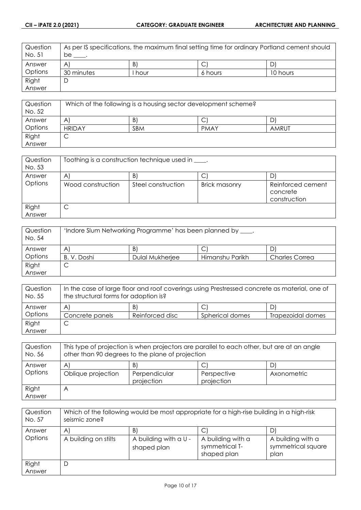| Question<br>No. 51 | As per IS specifications, the maximum final setting time for ordinary Portland cement should<br>be |        |         |          |
|--------------------|----------------------------------------------------------------------------------------------------|--------|---------|----------|
| Answer             | $\mathsf{A}$                                                                                       | B      | J       |          |
| Options            | 30 minutes                                                                                         | l hour | 6 hours | 10 hours |
| Right              |                                                                                                    |        |         |          |
| Answer             |                                                                                                    |        |         |          |

| Question<br>No. 52 | Which of the following is a housing sector development scheme? |     |             |       |
|--------------------|----------------------------------------------------------------|-----|-------------|-------|
| Answer             | A                                                              | B   |             |       |
| Options            | <b>HRIDAY</b>                                                  | SBM | <b>PMAY</b> | AMRUT |
| Right              | ◡                                                              |     |             |       |
| Answer             |                                                                |     |             |       |

| Question<br>No. 53 | Toothing is a construction technique used in ____. |                    |                      |                                               |
|--------------------|----------------------------------------------------|--------------------|----------------------|-----------------------------------------------|
| Answer             | A                                                  | B.                 | С                    |                                               |
| Options            | Wood construction                                  | Steel construction | <b>Brick masonry</b> | Reinforced cement<br>concrete<br>construction |
| Right<br>Answer    | ◡                                                  |                    |                      |                                               |

| Question<br>No. 54 | 'Indore Slum Networking Programme' has been planned by ____. |                 |                 |                       |
|--------------------|--------------------------------------------------------------|-----------------|-----------------|-----------------------|
| Answer             | A                                                            | B.              | Ć               |                       |
| Options            | B.V.Doshi                                                    | Dulal Mukherjee | Himanshu Parikh | <b>Charles Correa</b> |
| Right              | ◡                                                            |                 |                 |                       |
| Answer             |                                                              |                 |                 |                       |

| Question<br>No. 55 | In the case of large floor and roof coverings using Prestressed concrete as material, one of<br>the structural forms for adoption is? |                 |                 |                   |
|--------------------|---------------------------------------------------------------------------------------------------------------------------------------|-----------------|-----------------|-------------------|
| Answer             | A                                                                                                                                     | B)              | С               | D.                |
| Options            | Concrete panels                                                                                                                       | Reinforced disc | Spherical domes | Trapezoidal domes |
| Right              | ◡                                                                                                                                     |                 |                 |                   |
| Answer             |                                                                                                                                       |                 |                 |                   |

| This type of projection is when projectors are parallel to each other, but are at an angle<br>other than 90 degrees to the plane of projection |                             |                           |             |
|------------------------------------------------------------------------------------------------------------------------------------------------|-----------------------------|---------------------------|-------------|
| A                                                                                                                                              | B                           |                           | D           |
| Oblique projection                                                                                                                             | Perpendicular<br>projection | Perspective<br>projection | Axonometric |
| Α                                                                                                                                              |                             |                           |             |
|                                                                                                                                                |                             |                           |             |

| Question<br>No. 57 | Which of the following would be most appropriate for a high-rise building in a high-risk<br>seismic zone? |                                      |                                                    |                                                 |
|--------------------|-----------------------------------------------------------------------------------------------------------|--------------------------------------|----------------------------------------------------|-------------------------------------------------|
| Answer             | $\mathsf{A}$                                                                                              | B)                                   |                                                    | D'                                              |
| Options            | A building on stilts                                                                                      | A building with a U -<br>shaped plan | A building with a<br>symmetrical T-<br>shaped plan | A building with a<br>symmetrical square<br>plan |
| Right<br>Answer    | D                                                                                                         |                                      |                                                    |                                                 |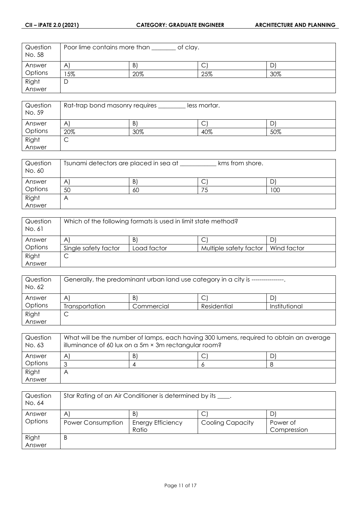| Question<br>No. 58 | Poor lime contains more than<br>of clay. |     |     |     |
|--------------------|------------------------------------------|-----|-----|-----|
| Answer             | $\mathsf{A}$                             | Β   | ◡   |     |
| Options            | 5%                                       | 20% | 25% | 30% |
| Right              |                                          |     |     |     |
| Answer             |                                          |     |     |     |

| Question<br>No. 59 | Rat-trap bond masonry requires<br>less mortar. |     |     |     |
|--------------------|------------------------------------------------|-----|-----|-----|
| Answer             | A                                              | B   | ◡   |     |
| Options            | 20%                                            | 30% | 40% | 50% |
| Right              | ◡                                              |     |     |     |
| Answer             |                                                |     |     |     |

| Question<br>No. 60 | Tsunami detectors are placed in sea at<br>kms from shore. |    |   |     |
|--------------------|-----------------------------------------------------------|----|---|-----|
| Answer             | Α                                                         | B. | ◡ |     |
| Options            | 50                                                        | 60 |   | 100 |
| Right              |                                                           |    |   |     |
| Answer             |                                                           |    |   |     |

| Question<br>No. 61 | Which of the following formats is used in limit state method? |             |                        |             |
|--------------------|---------------------------------------------------------------|-------------|------------------------|-------------|
| Answer             | A                                                             | B)          | ◡                      |             |
| Options            | Single safety factor                                          | Load factor | Multiple safety factor | Wind factor |
| Right              | ◡                                                             |             |                        |             |
| Answer             |                                                               |             |                        |             |

| Question<br>No. 62 | Generally, the predominant urban land use category in a city is --- |            |             |               |
|--------------------|---------------------------------------------------------------------|------------|-------------|---------------|
| Answer             | A                                                                   | B          | С           |               |
| Options            | Transportation                                                      | Commercial | Residential | Institutional |
| Right              | ◡                                                                   |            |             |               |
| Answer             |                                                                     |            |             |               |

| Question<br>No. 63 | What will be the number of lamps, each having 300 lumens, required to obtain an average<br>illuminance of 60 lux on a 5m × 3m rectangular room? |  |  |   |
|--------------------|-------------------------------------------------------------------------------------------------------------------------------------------------|--|--|---|
| Answer             | A                                                                                                                                               |  |  | D |
| Options            | っ                                                                                                                                               |  |  |   |
| Right              | Α                                                                                                                                               |  |  |   |
| Answer             |                                                                                                                                                 |  |  |   |

| Question | Star Rating of an Air Conditioner is determined by its ____. |                          |                         |             |
|----------|--------------------------------------------------------------|--------------------------|-------------------------|-------------|
| No. 64   |                                                              |                          |                         |             |
| Answer   | A                                                            | B)                       | С                       |             |
| Options  | Power Consumption                                            | <b>Energy Efficiency</b> | <b>Cooling Capacity</b> | Power of    |
|          |                                                              | Ratio                    |                         | Compression |
| Right    | B                                                            |                          |                         |             |
| Answer   |                                                              |                          |                         |             |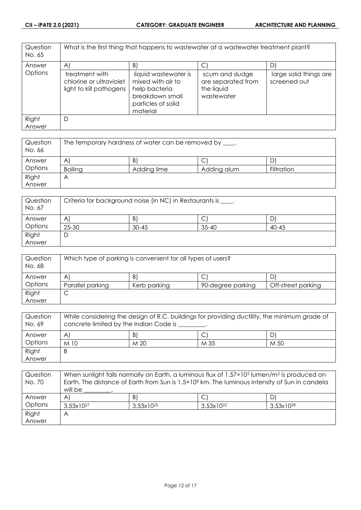| Question<br>No. 65 |                                                                      | What is the first thing that happens to wastewater at a wastewater treatment plant?                             |                                                                   |                                        |
|--------------------|----------------------------------------------------------------------|-----------------------------------------------------------------------------------------------------------------|-------------------------------------------------------------------|----------------------------------------|
| Answer             | A)                                                                   | B)                                                                                                              | C                                                                 | D1                                     |
| Options            | treatment with<br>chlorine or ultraviolet<br>light to kill pathogens | liquid wastewater is<br>mixed with air to<br>help bacteria<br>breakdown small<br>particles of solid<br>material | scum and sludge<br>are separated from<br>the liquid<br>wastewater | large solid things are<br>screened out |
| Right<br>Answer    | D                                                                    |                                                                                                                 |                                                                   |                                        |
|                    |                                                                      |                                                                                                                 |                                                                   |                                        |

| Question<br>No. 66 | The temporary hardness of water can be removed by ____. |             |             |            |
|--------------------|---------------------------------------------------------|-------------|-------------|------------|
| Answer             | A                                                       | B           | С           |            |
| Options            | <b>Boiling</b>                                          | Adding lime | Adding alum | Filtration |
| Right              |                                                         |             |             |            |
| Answer             |                                                         |             |             |            |

| Question<br>No. 67 | Criteria for background noise (in NC) in Restaurants is ____. |           |           |           |
|--------------------|---------------------------------------------------------------|-----------|-----------|-----------|
| Answer             | A                                                             | B.        | ◡         |           |
| Options            | 25-30                                                         | $30 - 45$ | $35 - 40$ | $40 - 45$ |
| Right              |                                                               |           |           |           |
| Answer             |                                                               |           |           |           |

| Question<br>No. 68 | Which type of parking is convenient for all types of users? |              |                   |                    |
|--------------------|-------------------------------------------------------------|--------------|-------------------|--------------------|
| Answer             | A                                                           | B)           | ◡                 |                    |
| Options            | Parallel parking                                            | Kerb parking | 90-degree parking | Off-street parking |
| Right              | ◡                                                           |              |                   |                    |
| Answer             |                                                             |              |                   |                    |

| Question<br>No. 69 | While considering the design of R.C. buildings for providing ductility, the minimum grade of<br>concrete limited by the Indian Code is |      |      |      |
|--------------------|----------------------------------------------------------------------------------------------------------------------------------------|------|------|------|
| Answer             | A                                                                                                                                      | B)   |      |      |
| Options            | $M$ 10                                                                                                                                 | M 20 | M 35 | M 50 |
| Right              | Β                                                                                                                                      |      |      |      |
| Answer             |                                                                                                                                        |      |      |      |

| Question<br>No. 70 | When sunlight falls normally on Earth, a luminous flux of 1.57×10 <sup>5</sup> lumen/m <sup>2</sup> is produced on<br>Earth. The distance of Earth from Sun is 1.5×10 <sup>8</sup> km. The luminous intensity of Sun in candela |                       |                       |                       |
|--------------------|---------------------------------------------------------------------------------------------------------------------------------------------------------------------------------------------------------------------------------|-----------------------|-----------------------|-----------------------|
|                    | will be                                                                                                                                                                                                                         |                       |                       |                       |
| Answer             | $\mathsf{A}$                                                                                                                                                                                                                    | $\vert B \vert$       | Ć                     | D)                    |
| Options            | $3.53 \times 10^{27}$                                                                                                                                                                                                           | $3.53 \times 10^{25}$ | $3.53 \times 10^{22}$ | $3.53 \times 10^{28}$ |
| Right              | A                                                                                                                                                                                                                               |                       |                       |                       |
| Answer             |                                                                                                                                                                                                                                 |                       |                       |                       |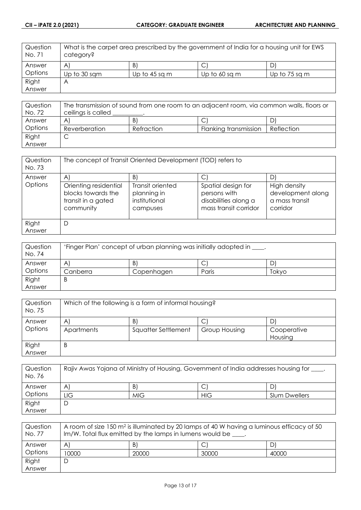| Question<br>No. 71 | What is the carpet area prescribed by the government of India for a housing unit for EWS<br>category? |               |               |               |
|--------------------|-------------------------------------------------------------------------------------------------------|---------------|---------------|---------------|
| Answer             | A                                                                                                     | B             | Ć             |               |
| Options            | Up to 30 sqm                                                                                          | Up to 45 sq m | Up to 60 sq m | Up to 75 sq m |
| Right              | Α                                                                                                     |               |               |               |
| Answer             |                                                                                                       |               |               |               |

| Question | The transmission of sound from one room to an adjacent room, via common walls, floors or |            |                       |            |
|----------|------------------------------------------------------------------------------------------|------------|-----------------------|------------|
| No. 72   | ceilings is called                                                                       |            |                       |            |
| Answer   | A                                                                                        | B)         |                       |            |
| Options  | Reverberation                                                                            | Refraction | Flanking transmission | Reflection |
| Right    | ◡                                                                                        |            |                       |            |
| Answer   |                                                                                          |            |                       |            |

| Question<br>No. 73 | The concept of Transit Oriented Development (TOD) refers to                    |                                                              |                                                                                     |                                                                 |
|--------------------|--------------------------------------------------------------------------------|--------------------------------------------------------------|-------------------------------------------------------------------------------------|-----------------------------------------------------------------|
| Answer             | $\mathsf{A}$                                                                   | B)                                                           | С                                                                                   | D                                                               |
| Options            | Orienting residential<br>blocks towards the<br>transit in a gated<br>community | Transit oriented<br>planning in<br>institutional<br>campuses | Spatial design for<br>persons with<br>disabilities along a<br>mass transit corridor | High density<br>development along<br>a mass transit<br>corridor |
| Right              | D                                                                              |                                                              |                                                                                     |                                                                 |
| Answer             |                                                                                |                                                              |                                                                                     |                                                                 |

| Question<br>No. 74 | 'Finger Plan' concept of urban planning was initially adopted in ____. |            |       |       |
|--------------------|------------------------------------------------------------------------|------------|-------|-------|
| Answer             | A                                                                      | Β          | ◡     |       |
| Options            | Canberra                                                               | Copenhagen | Paris | Tokyo |
| Right              | B                                                                      |            |       |       |
| Answer             |                                                                        |            |       |       |

| Question<br>No. 75 | Which of the following is a form of informal housing? |                     |               |             |
|--------------------|-------------------------------------------------------|---------------------|---------------|-------------|
| Answer             | $\mathsf{A}$                                          | B                   |               |             |
| Options            | Apartments                                            | Squatter Settlement | Group Housing | Cooperative |
|                    |                                                       |                     |               | Housing     |
| Right              | B                                                     |                     |               |             |
| Answer             |                                                       |                     |               |             |

| Question<br>No. 76 | Rajiv Awas Yojana of Ministry of Housing, Government of India addresses housing for ___ |            |            |                      |
|--------------------|-----------------------------------------------------------------------------------------|------------|------------|----------------------|
| Answer             | A                                                                                       | B          |            | D                    |
| Options            | LIG.                                                                                    | <b>MIG</b> | <b>HIG</b> | <b>Slum Dwellers</b> |
| Right              | D                                                                                       |            |            |                      |
| Answer             |                                                                                         |            |            |                      |

| Question<br>No. 77 | A room of size 150 m <sup>2</sup> is illuminated by 20 lamps of 40 W having a luminous efficacy of 50<br>$Im/W$ . Total flux emitted by the lamps in lumens would be $\_\_\_\$ . |       |       |       |
|--------------------|----------------------------------------------------------------------------------------------------------------------------------------------------------------------------------|-------|-------|-------|
| Answer             | $\mathsf{A}^{\prime}$                                                                                                                                                            | B.    |       |       |
| Options            | 10000                                                                                                                                                                            | 20000 | 30000 | 40000 |
| Right              |                                                                                                                                                                                  |       |       |       |
| Answer             |                                                                                                                                                                                  |       |       |       |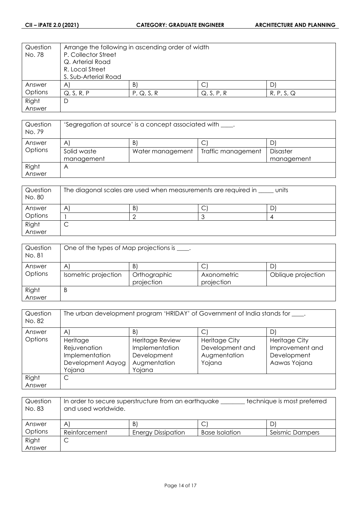| Question | Arrange the following in ascending order of width |                 |            |            |  |
|----------|---------------------------------------------------|-----------------|------------|------------|--|
| No. 78   | P. Collector Street                               |                 |            |            |  |
|          | Q. Arterial Road                                  |                 |            |            |  |
|          | R. Local Street                                   |                 |            |            |  |
|          | S. Sub-Arterial Road                              |                 |            |            |  |
| Answer   | $\mathsf{A}$                                      | $\vert B \vert$ | С          | D          |  |
| Options  | Q, S, R, P                                        | P, Q, S, R      | Q, S, P, R | R, P, S, Q |  |
| Right    | D                                                 |                 |            |            |  |
| Answer   |                                                   |                 |            |            |  |

| Question<br>No. 79 | 'Segregation at source' is a concept associated with _____. |                  |                    |            |
|--------------------|-------------------------------------------------------------|------------------|--------------------|------------|
| Answer             | A                                                           | B)               | С                  |            |
| Options            | Solid waste                                                 | Water management | Traffic management | Disaster   |
|                    | management                                                  |                  |                    | management |
| Right              | ۳                                                           |                  |                    |            |
| Answer             |                                                             |                  |                    |            |

| Question<br>No. 80 | The diagonal scales are used when measurements are required in<br>units |   |  |  |
|--------------------|-------------------------------------------------------------------------|---|--|--|
| Answer             | A                                                                       | Β |  |  |
| Options            |                                                                         |   |  |  |
| Right<br>Answer    |                                                                         |   |  |  |

| Question<br>No. 81 | One of the types of Map projections is ____. |                                  |                                |                          |
|--------------------|----------------------------------------------|----------------------------------|--------------------------------|--------------------------|
| Answer<br>Options  | $\mathsf{A}$<br>Isometric projection         | B.<br>Orthographic<br>projection | С<br>Axonometric<br>projection | D)<br>Oblique projection |
| Right<br>Answer    | B                                            |                                  |                                |                          |

| Question<br>No. 82 | The urban development program 'HRIDAY' of Government of India stands for ____. |                                                                            |                                                                   |                                                                        |
|--------------------|--------------------------------------------------------------------------------|----------------------------------------------------------------------------|-------------------------------------------------------------------|------------------------------------------------------------------------|
| Answer             | $\mathsf{A}$                                                                   | $\vert B \vert$                                                            | С                                                                 |                                                                        |
| Options            | Heritage<br>Rejuvenation<br>Implementation<br>Development Aayog<br>Yojana      | Heritage Review<br>Implementation<br>Development<br>Augmentation<br>Yojana | <b>Heritage City</b><br>Development and<br>Augmentation<br>Yojana | <b>Heritage City</b><br>Improvement and<br>Development<br>Aawas Yojana |
| Right<br>Answer    | С                                                                              |                                                                            |                                                                   |                                                                        |

| Question<br>No. 83 | In order to secure superstructure from an earthquake<br>technique is most preferred<br>and used worldwide. |                           |                       |                 |
|--------------------|------------------------------------------------------------------------------------------------------------|---------------------------|-----------------------|-----------------|
| Answer             | A                                                                                                          | B                         |                       | D)              |
| Options            | Reinforcement                                                                                              | <b>Energy Dissipation</b> | <b>Base Isolation</b> | Seismic Dampers |
| Right              | ◡                                                                                                          |                           |                       |                 |
| Answer             |                                                                                                            |                           |                       |                 |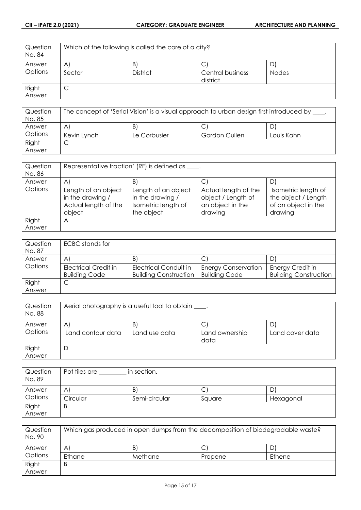| Question<br>No. 84 | Which of the following is called the core of a city? |                 |                              |              |
|--------------------|------------------------------------------------------|-----------------|------------------------------|--------------|
| Answer             | $\mathsf{A}$                                         | B               |                              | D            |
| <b>Options</b>     | Sector                                               | <b>District</b> | Central business<br>district | <b>Nodes</b> |
| Right<br>Answer    | С                                                    |                 |                              |              |
|                    |                                                      |                 |                              |              |

| Question<br>No. 85 | The concept of 'Serial Vision' is a visual approach to urban design first introduced by ___. |              |               |            |
|--------------------|----------------------------------------------------------------------------------------------|--------------|---------------|------------|
| Answer             | A                                                                                            | B            |               |            |
| Options            | Kevin Lynch                                                                                  | Le Corbusier | Gordon Cullen | Louis Kahn |
| Right              |                                                                                              |              |               |            |
| Answer             |                                                                                              |              |               |            |

| Question<br>No. 86 | Representative fraction' (RF) is defined as ____.                         |                                                                              |                                                                           |                                                                              |
|--------------------|---------------------------------------------------------------------------|------------------------------------------------------------------------------|---------------------------------------------------------------------------|------------------------------------------------------------------------------|
| Answer             | A                                                                         | $\vert B \vert$                                                              | С                                                                         |                                                                              |
| Options            | Length of an object<br>in the drawing /<br>Actual length of the<br>object | Length of an object<br>in the drawing /<br>Isometric length of<br>the object | Actual length of the<br>object / Length of<br>an object in the<br>drawing | Isometric length of<br>the object / Length<br>of an object in the<br>drawing |
| Right<br>Answer    | Α                                                                         |                                                                              |                                                                           |                                                                              |

| Question<br>No. 87 | ECBC stands for      |                              |                            |                              |
|--------------------|----------------------|------------------------------|----------------------------|------------------------------|
| Answer             | A'                   | B                            | С                          |                              |
| Options            | Electrical Credit in | Electrical Conduit in        | <b>Energy Conservation</b> | Energy Credit in             |
|                    | <b>Building Code</b> | <b>Building Construction</b> | <b>Building Code</b>       | <b>Building Construction</b> |
| Right              | ◡                    |                              |                            |                              |
| Answer             |                      |                              |                            |                              |

| Question<br>No. 88 | Aerial photography is a useful tool to obtain _____. |                     |                        |                      |
|--------------------|------------------------------------------------------|---------------------|------------------------|----------------------|
| Answer<br>Options  | A<br>Land contour data                               | B.<br>Land use data | Land ownership<br>data | D<br>Land cover data |
| Right<br>Answer    | D                                                    |                     |                        |                      |

| Question<br>No. 89 | in section.<br>Pot tiles are |               |        |           |
|--------------------|------------------------------|---------------|--------|-----------|
| Answer             | Α                            | B.            | Ć      | D         |
| Options            | Circular                     | Semi-circular | Sauare | Hexagonal |
| Right              | Β                            |               |        |           |
| Answer             |                              |               |        |           |

| Question<br>No. 90 | Which gas produced in open dumps from the decomposition of biodegradable waste? |         |         |        |
|--------------------|---------------------------------------------------------------------------------|---------|---------|--------|
| Answer             | A                                                                               | B,      | ◡       |        |
| Options            | Ethane                                                                          | Methane | Propene | Ethene |
| Right              | B                                                                               |         |         |        |
| Answer             |                                                                                 |         |         |        |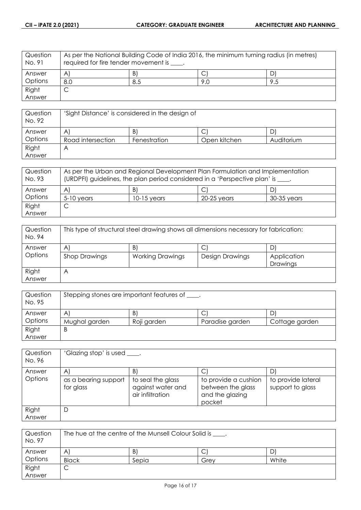| Question<br>No. 91 | As per the National Building Code of India 2016, the minimum turning radius (in metres)<br>required for fire tender movement is ____. |     |     |     |
|--------------------|---------------------------------------------------------------------------------------------------------------------------------------|-----|-----|-----|
| Answer             | $\mathsf{A}$                                                                                                                          | B   | ◡   |     |
| Options            | 8.0                                                                                                                                   | 8.5 | 9.0 | 9.5 |
| Right              | ◡                                                                                                                                     |     |     |     |
| Answer             |                                                                                                                                       |     |     |     |

| Question<br>No. 92 | 'Sight Distance' is considered in the design of |              |              |            |
|--------------------|-------------------------------------------------|--------------|--------------|------------|
| Answer             | A                                               | B            |              |            |
| Options            | Road intersection                               | Fenestration | Open kitchen | Auditorium |
| Right              | Α                                               |              |              |            |
| Answer             |                                                 |              |              |            |

| Question<br>No. 93 | As per the Urban and Regional Development Plan Formulation and Implementation<br>(URDPFI) guidelines, the plan period considered in a 'Perspective plan' is ____. |               |             |             |
|--------------------|-------------------------------------------------------------------------------------------------------------------------------------------------------------------|---------------|-------------|-------------|
| Answer             | A                                                                                                                                                                 | B)            | С           |             |
| Options            | $5-10$ years                                                                                                                                                      | $10-15$ years | 20-25 vears | 30-35 years |
| Right              | ◡                                                                                                                                                                 |               |             |             |
| Answer             |                                                                                                                                                                   |               |             |             |

| Question<br>No. 94 | This type of structural steel drawing shows all dimensions necessary for fabrication: |                         |                 |                         |
|--------------------|---------------------------------------------------------------------------------------|-------------------------|-----------------|-------------------------|
| Answer             | $\mathsf{A}^{\prime}$                                                                 | $\mathsf{B}$            | С               |                         |
| Options            | <b>Shop Drawings</b>                                                                  | <b>Working Drawings</b> | Design Drawings | Application<br>Drawings |
| Right<br>Answer    | Α                                                                                     |                         |                 |                         |

| Question<br>No. 95 | Stepping stones are important features of ____. |             |                 |                |
|--------------------|-------------------------------------------------|-------------|-----------------|----------------|
| Answer             | A                                               | Β           | ◡               | D              |
| Options            | Mughal garden                                   | Roji garden | Paradise garden | Cottage garden |
| Right              | B                                               |             |                 |                |
| Answer             |                                                 |             |                 |                |

| Question<br>No. 96 | 'Glazing stop' is used ____.      |                                                            |                                                                        |                                        |
|--------------------|-----------------------------------|------------------------------------------------------------|------------------------------------------------------------------------|----------------------------------------|
| Answer             | $\mathsf{A}$                      | B)                                                         |                                                                        |                                        |
| Options            | as a bearing support<br>for glass | to seal the glass<br>against water and<br>air infiltration | to provide a cushion<br>between the glass<br>and the glazing<br>pocket | to provide lateral<br>support to glass |
| Right              | D                                 |                                                            |                                                                        |                                        |
| Answer             |                                   |                                                            |                                                                        |                                        |

| Question<br>No. 97 | The hue at the centre of the Munsell Colour Solid is _____. |       |      |       |
|--------------------|-------------------------------------------------------------|-------|------|-------|
| Answer             | A                                                           | B.    | ◡    |       |
| Options            | <b>Black</b>                                                | Sepia | Grev | White |
| Right              | ◡                                                           |       |      |       |
| Answer             |                                                             |       |      |       |